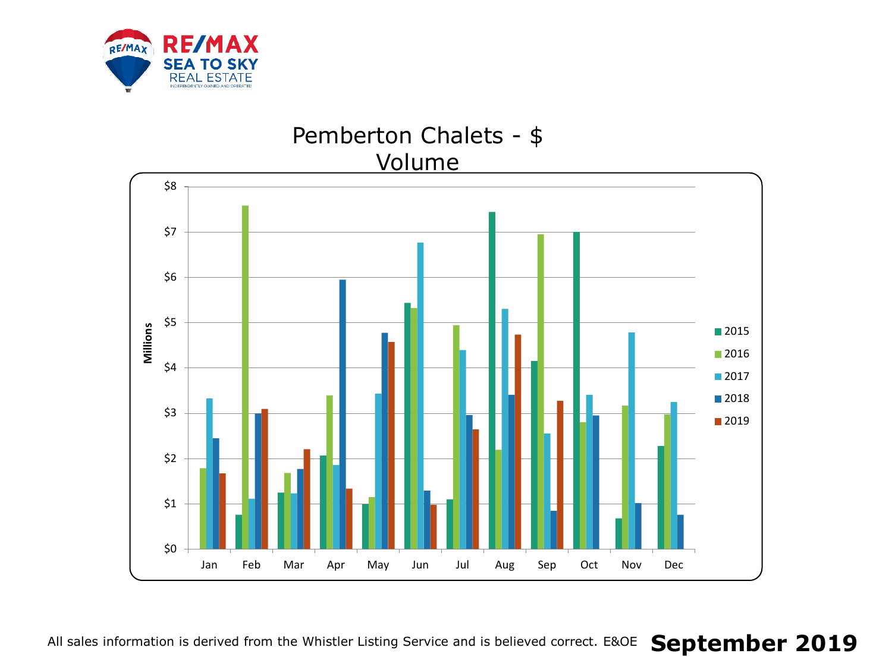

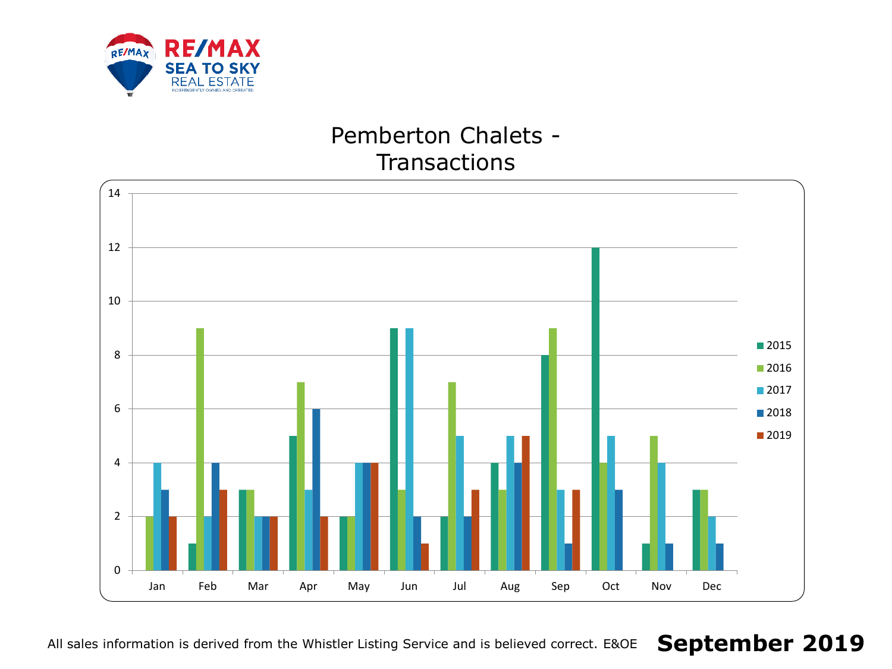

# Pemberton Chalets - **Transactions**



All sales information is derived from the Whistler Listing Service and is believed correct. E&OE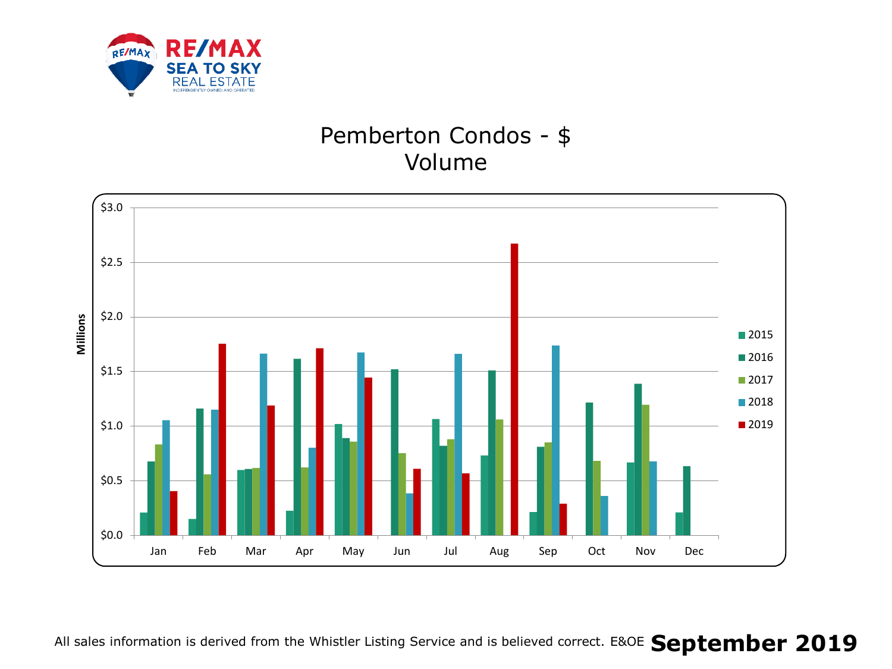

# Pemberton Condos - \$ Volume

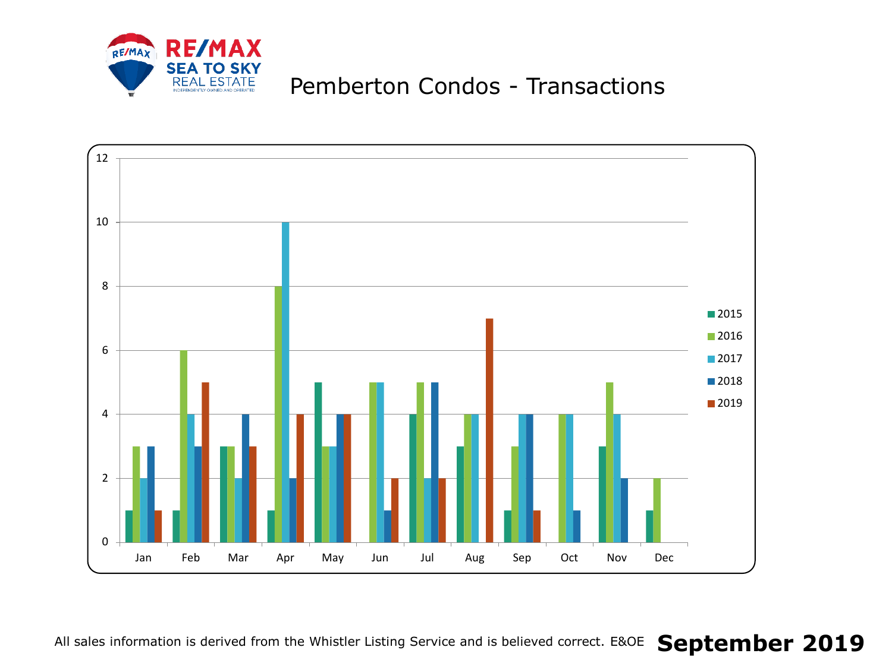

# Pemberton Condos - Transactions

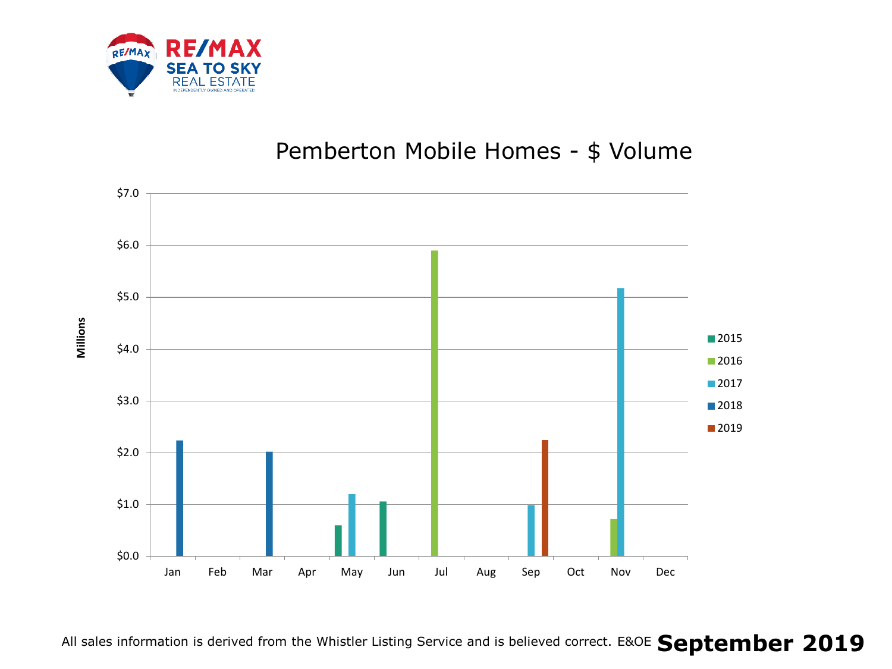

### Pemberton Mobile Homes - \$ Volume

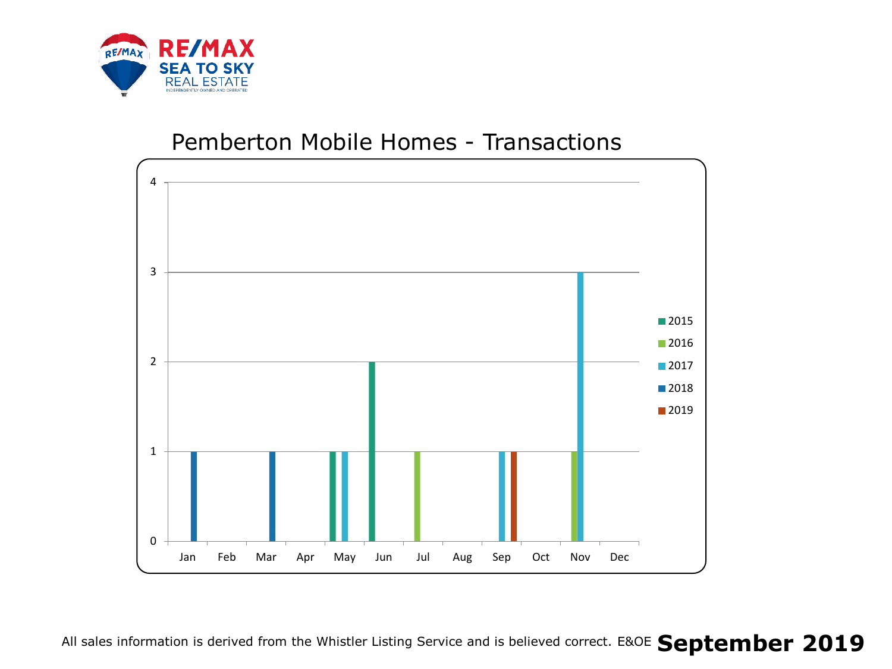

#### Pemberton Mobile Homes - Transactions

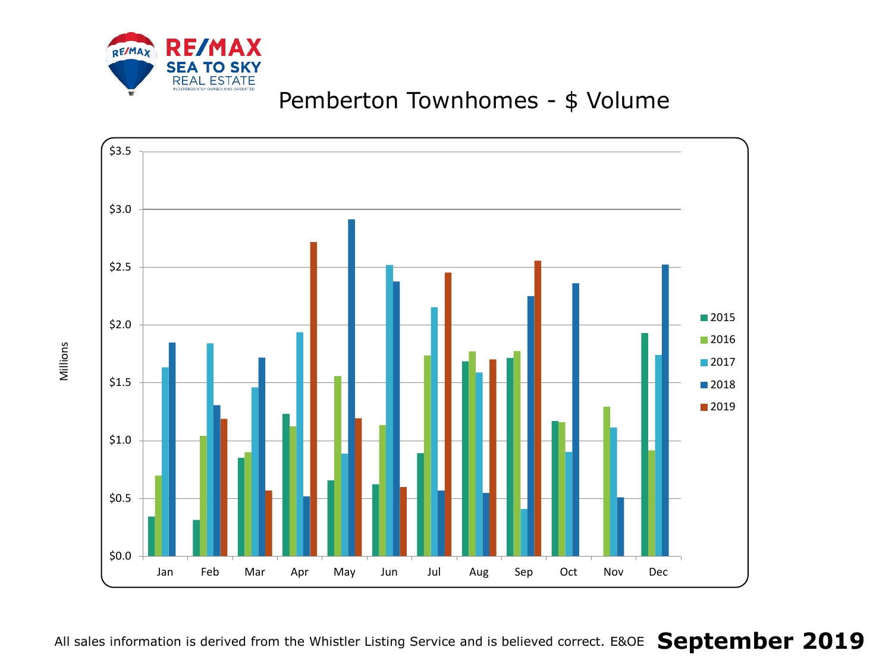

# Pemberton Townhomes - \$ Volume

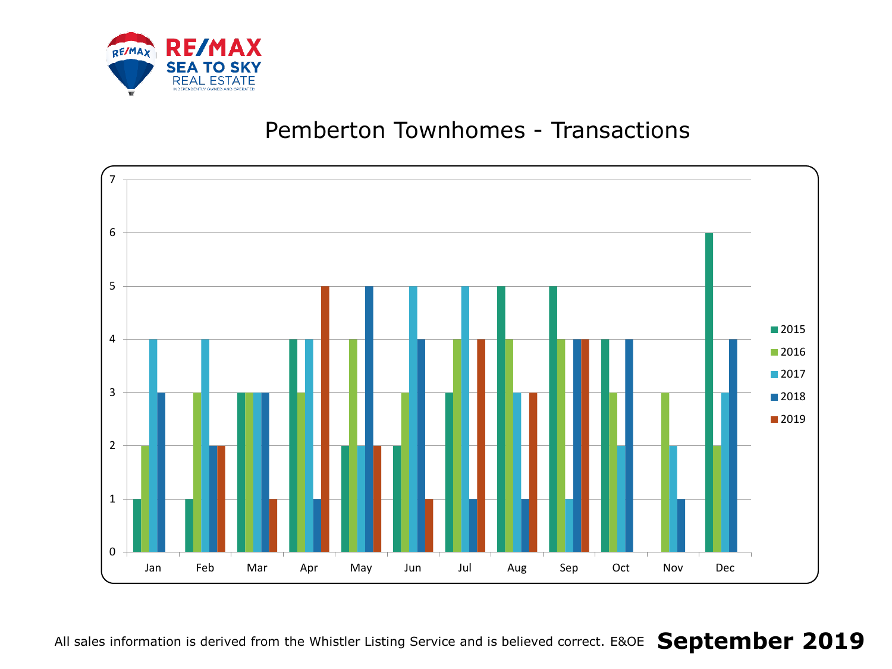

#### Pemberton Townhomes - Transactions

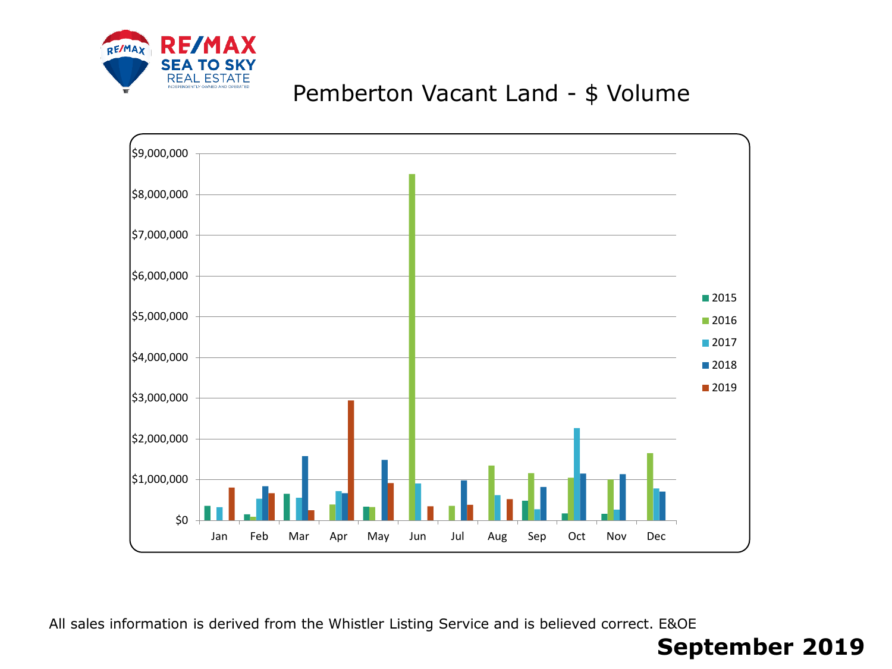

# Pemberton Vacant Land - \$ Volume



All sales information is derived from the Whistler Listing Service and is believed correct. E&OE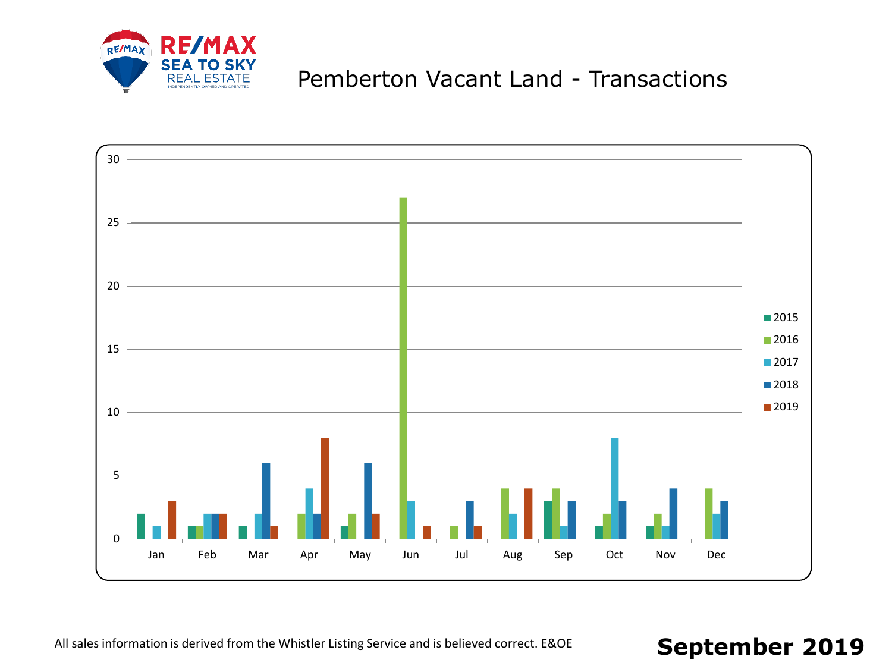

# Pemberton Vacant Land - Transactions



All sales information is derived from the Whistler Listing Service and is believed correct. E&OE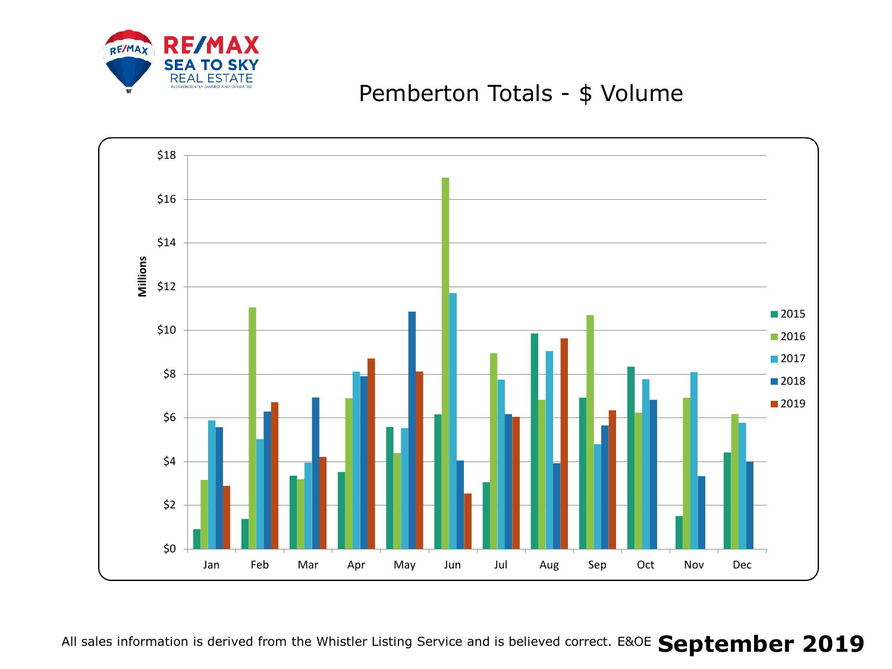

#### Pemberton Totals - \$ Volume

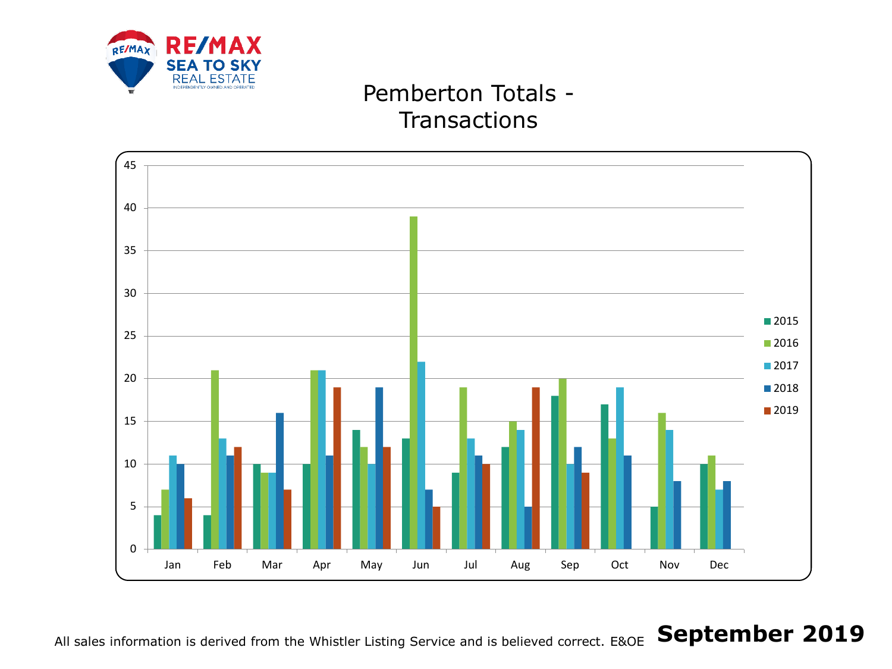

# Pemberton Totals - **Transactions**



#### All sales information is derived from the Whistler Listing Service and is believed correct. E&OE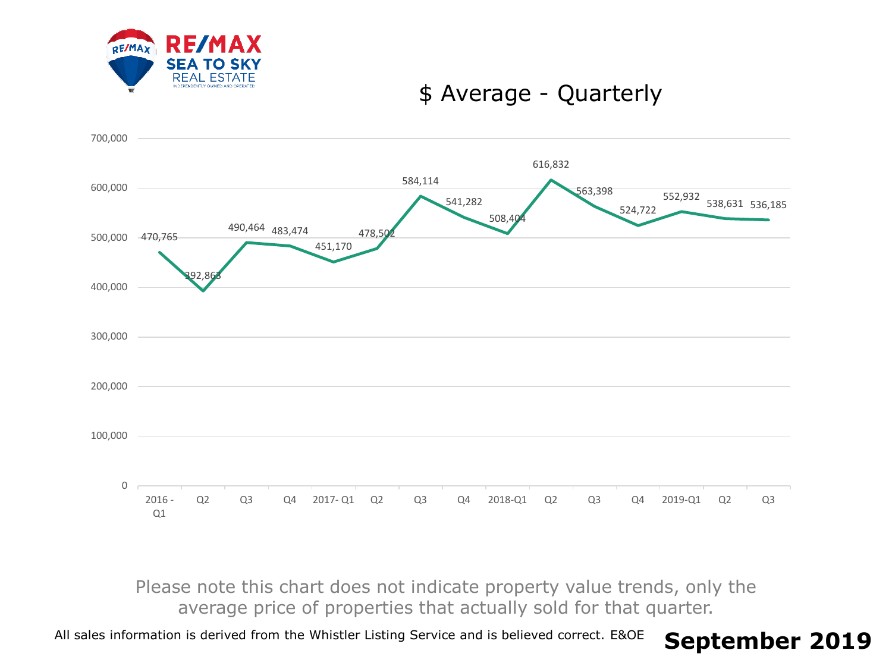

#### \$ Average - Quarterly



Please note this chart does not indicate property value trends, only the average price of properties that actually sold for that quarter.

All sales information is derived from the Whistler Listing Service and is believed correct. E&OE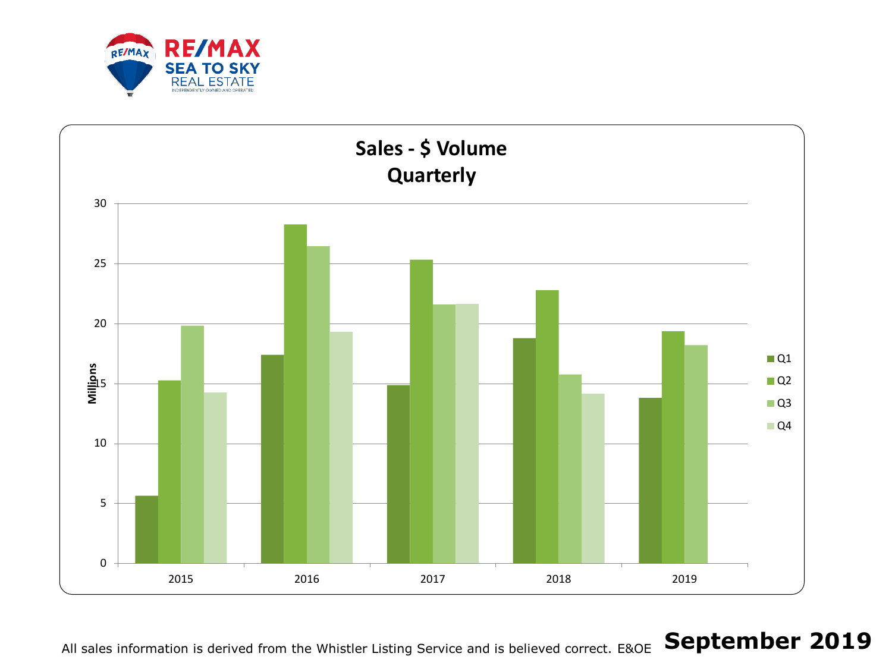